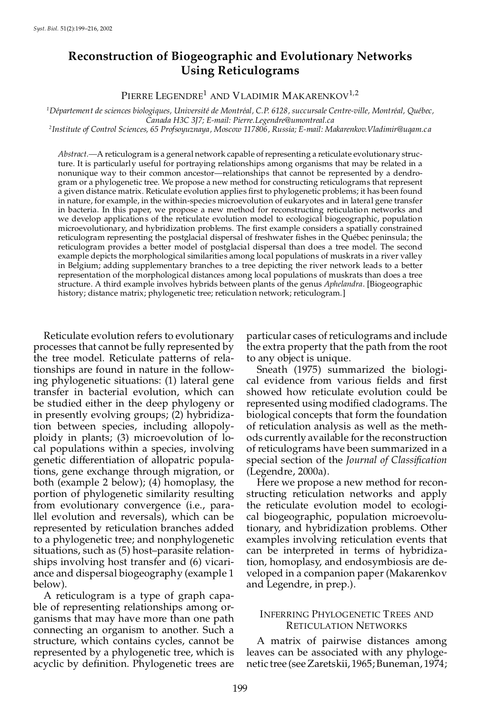# **Reconstruction of Biogeographic and Evolutionary Networks Using Reticulograms**

PIERRE LEGENDRE<sup>1</sup> AND VLADIMIR MAKARENKOV<sup>1,2</sup>

 $1$ Département de sciences biologiques, Université de Montréal, C.P. 6128, succursale Centre-ville, Montréal, Québec, *Canada H3C 3J7; E-mail: Pierre.Legendre@umontreal.ca*

*<sup>2</sup>Institute of Control Sciences, 65 Profsoyuznaya, Moscow 117806, Russia; E-mail: Makarenkov.Vladimir@uqam.c a*

*Abstract.—*A reticulogram is a general network capable ofrepresenting a reticulate evolutionary structure. It is particularly useful for portraying relationships among organisms that may be related in a nonunique way to their common ancestor—relationships that cannot be represented by a dendro gram or a phylogenetic tree. We propose a new method for constructing reticulograms that represent a given distance matrix. Reticulate evolution applies first to phylogenetic problems; it has been found in nature, for example, in the within-species microevolution of eukaryotes and in lateral gene transfer in bacteria. In this paper, we propose a new method for reconstructing reticulation networks and we develop applications of the reticulate evolution model to ecological biogeographic, population microevolutionary, and hybridization problems. The first example considers a spatially constrained reticulogram representing the postglacial dispersal of freshwater fishes in the Québec peninsula; the reticulogram provides a better model of postglacial dispersal than does a tree model. The second example depicts the morphological similarities among local populations of muskrats in a river valley in Belgium; adding supplementary branches to a tree depicting the river network leads to a better representation of the morphological distances among local populations of muskrats than does a tree structure. A third example involves hybrids between plants of the genus *Aphelandra*. [Biogeographic history; distance matrix; phylogenetic tree; reticulation network; reticulogram.]

Reticulate evolution refers to evolutionary processes that cannot be fully represented by the tree model. Reticulate patterns of relationships are found in nature in the following phylogenetic situations: (1) lateral gene transfer in bacterial evolution, which can be studied either in the deep phylogeny or in presently evolving groups; (2) hybridization between species, including allopoly ploidy in plants; (3) microevolution of lo cal populations within a species, involving genetic differentiation of allopatric populations, gene exchange through migration, or both (example 2 below); (4) homoplasy, the portion of phylogenetic similarity resulting from evolutionary convergence (i.e., parallel evolution and reversals), which can be represented by reticulation branches added to a phylogenetic tree; and nonphylogenetic situations, such as (5) host–parasite relation ships involving host transfer and (6) vicari ance and dispersal biogeography (example 1 below).

A reticulogram is a type of graph capa ble of representing relationships among or ganisms that may have more than one path connecting an organism to another. Such a structure, which contains cycles, cannot be represented by a phylogenetic tree, which is acyclic by definition. Phylogenetic trees are

particular cases ofreticulograms and include the extra property that the path from the root to any object is unique.

Sneath (1975) summarized the biologi cal evidence from various fields and first showed how reticulate evolution could be represented using modified cladograms. The biological concepts that form the foundation of reticulation analysis as well as the meth ods currently available for the reconstruction of reticulograms have been summarized in a special section of the *Journal of Classication* (Legendre, 2000a).

Here we propose a new method for recon structing reticulation networks and apply the reticulate evolution model to ecologi cal biogeographic, population microevolutionary, and hybridization problems. Other examples involving reticulation events that can be interpreted in terms of hybridization, homoplasy, and endosymbiosis are de veloped in a companion paper (Makarenkov and Legendre, in prep.).

# INFERRING PHYLOGENETIC TREES AND RETICULATION NETWORKS

A matrix of pairwise distances among leaves can be associated with any phyloge netic tree (seeZaretskii, 1965;Buneman, 1974;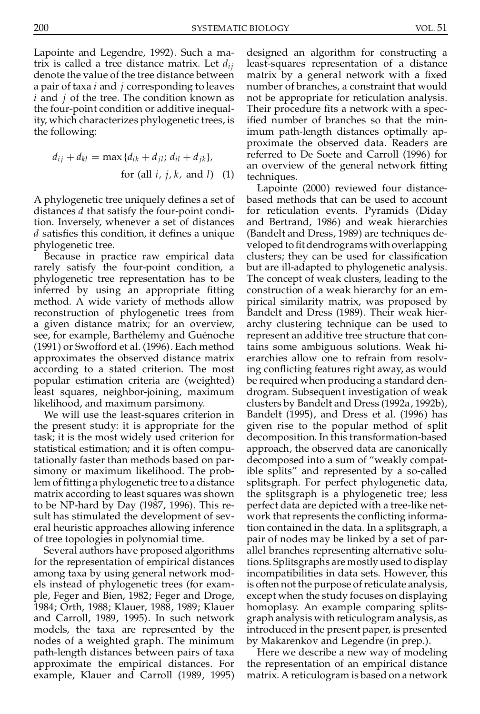Lapointe and Legendre, 1992). Such a matrix is called a tree distance matrix. Let *dij* denote the value of the tree distance between a pair of taxa *i* and *j* corresponding to leaves *i* and *j* of the tree. The condition known as the four-point condition or additive inequality, which characterizes phylogenetic trees, is the following:

$$
d_{ij} + d_{kl} = \max \{ d_{ik} + d_{jl} ; d_{il} + d_{jk} \},
$$
  
for (all *i*, *j*, *k*, and *l*) (1)

A phylogenetic tree uniquely defines a set of distances *d* that satisfy the four-point condition. Inversely, whenever a set of distances *d* satisfies this condition, it defines a unique phylogenetic tree.

Because in practice raw empirical data rarely satisfy the four-point condition, a phylogenetic tree representation has to be inferred by using an appropriate fitting method. A wide variety of methods allow reconstruction of phylogenetic trees from a given distance matrix; for an overview, see, for example, Barthélemy and Guénoche (1991) or Swofford et al. (1996). Each method approximates the observed distance matrix according to a stated criterion. The most popular estimation criteria are (weighted) least squares, neighbor-joining, maximum likelihood, and maximum parsimony.

We will use the least-squares criterion in the present study: it is appropriate for the task; it is the most widely used criterion for statistical estimation; and it is often computationally faster than methods based on par simony or maximum likelihood. The problem of fitting a phylogenetic tree to a distance matrix according to least squares was shown to be NP-hard by Day (1987, 1996). This re sult has stimulated the development of sev eral heuristic approaches allowing inference of tree topologies in polynomial time.

Several authors have proposed algorithms for the representation of empirical distances among taxa by using general network mod els instead of phylogenetic trees (for exam ple, Feger and Bien, 1982; Feger and Droge, 1984; Orth, 1988; Klauer, 1988, 1989; Klauer and Carroll, 1989, 1995). In such network models, the taxa are represented by the nodes of a weighted graph. The minimum path-length distances between pairs of taxa approximate the empirical distances. For example, Klauer and Carroll (1989, 1995) designed an algorithm for constructing a least-squares representation of a distance matrix by a general network with a fixed number of branches, a constraint that would not be appropriate for reticulation analysis. Their procedure fits a network with a specified number of branches so that the minimum path-length distances optimally ap proximate the observed data. Readers are referred to De Soete and Carroll (1996) for an overview of the general network fitting techniques.

Lapointe (2000) reviewed four distance based methods that can be used to account for reticulation events. Pyramids (Diday and Bertrand, 1986) and weak hierarchies (Bandelt and Dress, 1989) are techniques de veloped to fit dendrograms with overlapping clusters; they can be used for classification but are ill-adapted to phylogenetic analysis. The concept of weak clusters, leading to the construction of a weak hierarchy for an em pirical similarity matrix, was proposed by Bandelt and Dress (1989). Their weak hier archy clustering technique can be used to represent an additive tree structure that contains some ambiguous solutions. Weak hi erarchies allow one to refrain from resolving conflicting features right away, as would be required when producing a standard den drogram. Subsequent investigation of weak clusters by Bandelt and Dress (1992a, 1992b), Bandelt (1995), and Dress et al. (1996) has given rise to the popular method of split decomposition. In this transformation-based approach, the observed data are canonically decomposed into a sum of "weakly compatible splits" and represented by a so-called splitsgraph. For perfect phylogenetic data, the splitsgraph is a phylogenetic tree; less perfect data are depicted with a tree-like net work that represents the conflicting information contained in the data. In a splitsgraph, a pair of nodes may be linked by a set of par allel branches representing alternative solutions. Splitsgraphs are mostly used to display incompatibilities in data sets. However, this is often not the purpose of reticulate analysis, except when the study focuses on displaying homoplasy. An example comparing splits graph analysis with reticulogram analysis, as introduced in the present paper, is presented by Makarenkov and Legendre (in prep.).

Here we describe a new way of modeling the representation of an empirical distance matrix. A reticulogram is based on a network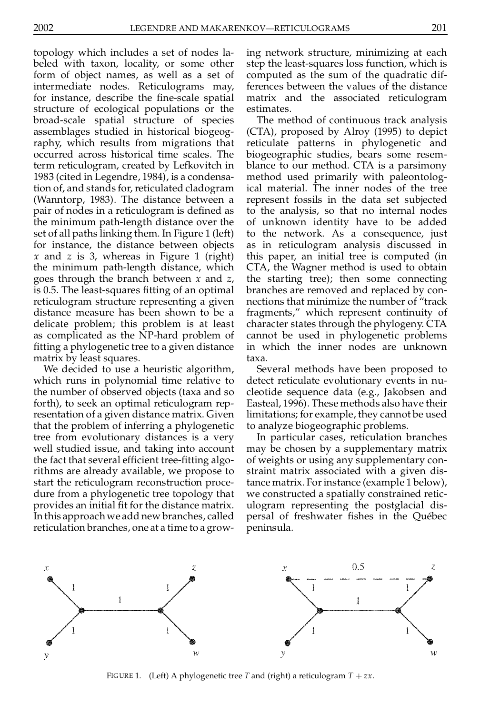topology which includes a set of nodes la beled with taxon, locality, or some other form of object names, as well as a set of intermediate nodes. Reticulograms may, for instance, describe the fine-scale spatial structure of ecological populations or the broad-scale spatial structure of species assemblages studied in historical biogeog raphy, which results from migrations that occurred across historical time scales. The term reticulogram, created by Lefkovitch in 1983 (cited in Legendre, 1984), is a condensation of, and stands for, reticulated cladogram (Wanntorp, 1983). The distance between a pair of nodes in a reticulogram is defined as the minimum path-length distance over the set of all paths linking them. In Figure 1 (left) for instance, the distance between objects *x* and *z* is 3, whereas in Figure 1 (right) the minimum path-length distance, which goes through the branch between *x* and *z*, is 0.5. The least-squares fitting of an optimal reticulogram structure representing a given distance measure has been shown to be a delicate problem; this problem is at least as complicated as the NP-hard problem of tting a phylogenetic tree to a given distance matrix by least squares.

We decided to use a heuristic algorithm, which runs in polynomial time relative to the number of observed objects (taxa and so forth), to seek an optimal reticulogram rep resentation of a given distance matrix. Given that the problem of inferring a phylogenetic tree from evolutionary distances is a very well studied issue, and taking into account the fact that several efficient tree-fitting algorithms are already available, we propose to start the reticulogram reconstruction proce dure from a phylogenetic tree topology that provides an initial fit for the distance matrix. In this approach we add new branches, called reticulation branches, one at a time to a growing network structure, minimizing at each step the least-squares loss function, which is computed as the sum of the quadratic differences between the values of the distance matrix and the associated reticulogram estimates.

The method of continuous track analysis (CTA), proposed by Alroy (1995) to depict reticulate patterns in phylogenetic and biogeographic studies, bears some resem blance to our method. CTA is a parsimony method used primarily with paleontological material. The inner nodes of the tree represent fossils in the data set subjected to the analysis, so that no internal nodes of unknown identity have to be added to the network. As a consequence, just as in reticulogram analysis discussed in this paper, an initial tree is computed (in CTA, the Wagner method is used to obtain the starting tree); then some connecting branches are removed and replaced by con nections that minimize the number of "track fragments," which represent continuity of character states through the phylogeny. CTA cannot be used in phylogenetic problems in which the inner nodes are unknown taxa.

Several methods have been proposed to detect reticulate evolutionary events in nu cleotide sequence data (e.g., Jakobsen and Easteal, 1996). These methods also have their limitations; for example, they cannot be used to analyze biogeographic problems.

In particular cases, reticulation branches may be chosen by a supplementary matrix of weights or using any supplementary con straint matrix associated with a given distance matrix. For instance (example 1 below), we constructed a spatially constrained retic ulogram representing the postglacial dis persal of freshwater fishes in the Québec peninsula.



FIGURE 1. (Left) A phylogenetic tree *T* and (right) a reticulogram  $T + zx$ .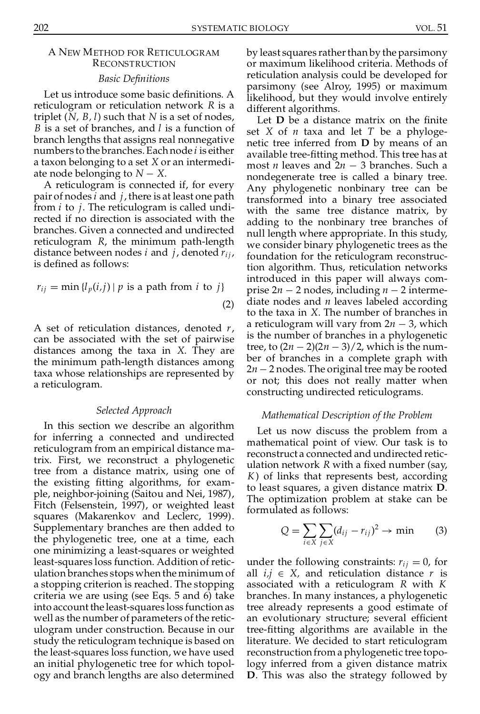# A NEW METHOD FOR RETICULOGRAM **RECONSTRUCTION**

#### *Basic Denitions*

Let us introduce some basic definitions. A reticulogram or reticulation network *R* is a triplet (*N, B, l*) such that *N* is a set of nodes, *B* is a set of branches, and *l* is a function of branch lengths that assigns real nonnegative numbers to the branches.Each node *i* is either a taxon belonging to a set *X* or an intermedi-

ate node belonging to  $N - X$ .<br>A reticulogram is connected if, for every pair of nodes *i*and *j*, there is at least one path from *i* to *j*. The reticulogram is called undi rected if no direction is associated with the branches. Given a connected and undirected reticulogram *R*, the minimum path-length distance between nodes *i* and *j*, denoted  $r_{ij}$ , is defined as follows:

$$
r_{ij} = \min \{l_p(i,j) \mid p \text{ is a path from } i \text{ to } j\}
$$
\n
$$
(2)
$$

A set of reticulation distances, denoted *r*, can be associated with the set of pairwise distances among the taxa in *X*. They are  $\lim_{b \to b} \frac{\log_a b}{\log_a b}$  be  $\lim_{b \to b} \frac{\log_a b}{\log_a b}$  be of branches in a complete graph with the minimum path-length distances among taxa whose relationships are represented by a reticulogram.

#### *Selected Approach*

In this section we describe an algorithm for inferring a connected and undirected reticulogram from an empirical distance matrix. First, we reconstruct a phylogenetic tree from a distance matrix, using one of the existing fitting algorithms, for example, neighbor-joining (Saitou and Nei, 1987), Fitch (Felsenstein, 1997), or weighted least squares (Makarenkov and Leclerc, 1999). Supplementary branches are then added to the phylogenetic tree, one at a time, each one minimizing a least-squares or weighted least-squares loss function. Addition of reticulation branches stops when the minimum of a stopping criterion is reached. The stopping criteria we are using (see Eqs. 5 and 6) take into account the least-squares loss function as well as the number of parameters of the retic ulogram under construction. Because in our study the reticulogram technique is based on the least-squares loss function, we have used an initial phylogenetic tree for which topol ogy and branch lengths are also determined

by least squares rather than by the parsimony or maximum likelihood criteria. Methods of reticulation analysis could be developed for parsimony (see Alroy, 1995) or maximum likelihood, but they would involve entirely different algorithms.

Let **D** be a distance matrix on the finite set *X* of *n* taxa and let *T* be a phyloge netic tree inferred from **D** by means of an available tree-tting method. This tree has at most *n* leaves and  $2n - 3$  branches. Such a nondegenerate tree is called a binary tree. Any phylogenetic nonbinary tree can be transformed into a binary tree associated with the same tree distance matrix, by adding to the nonbinary tree branches of null length where appropriate. In this study, we consider binary phylogenetic trees as the foundation for the reticulogram reconstruction algorithm. Thus, reticulation networks introduced in this paper will always com prise  $2n - 2$  nodes, including  $n - 2$  intermediate nodes and *n* leaves labeled according to the taxa in *X*. The number of branches in a reticulogram will vary from  $2n - 3$ , which is the number of branches in a phylogenetic tree, to  $(2n - 2)(2n - 3)/2$ , which is the num- $2n - 2$  nodes. The original tree may be rooted or not; this does not really matter when constructing undirected reticulograms.

#### *Mathematical Description of the Problem*

Let us now discuss the problem from a mathematical point of view. Our task is to reconstruct a connected and undirected retic ulation network *R* with a fixed number (say, *K*) of links that represents best, according to least squares, a given distance matrix **D**. The optimization problem at stake can be formulated as follows:

$$
Q = \sum_{i \in X} \sum_{j \in X} (d_{ij} - r_{ij})^2 \to \min \qquad (3)
$$

under the following constraints:  $r_{ij} = 0$ , for all  $i, j \in X$ , and reticulation distance *r* is associated with a reticulogram *R* with *K* branches. In many instances, a phylogenetic tree already represents a good estimate of an evolutionary structure; several efficient tree-tting algorithms are available in the literature. We decided to start reticulogram reconstruction from a phylogenetic tree topology inferred from a given distance matrix **D**. This was also the strategy followed by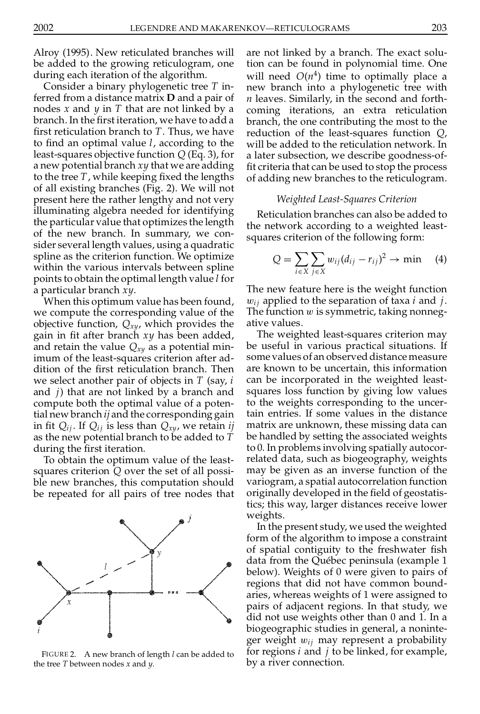Alroy (1995). New reticulated branches will be added to the growing reticulogram, one during each iteration of the algorithm.

Consider a binary phylogenetic tree *T* inferred from a distance matrix **D** and a pair of nodes *x* and *y* in *T* that are not linked by a branch. In the first iteration, we have to add a first reticulation branch to *T*. Thus, we have to find an optimal value *l*, according to the least-squares objective function *Q* (Eq. 3), for a new potential branch *xy* that we are adding to the tree  $T$ , while keeping fixed the lengths of all existing branches (Fig. 2). We will not present here the rather lengthy and not very illuminating algebra needed for identifying the particular value that optimizes the length of the new branch. In summary, we con sider several length values, using a quadratic spline as the criterion function. We optimize within the various intervals between spline points to obtain the optimal length value *l* for a particular branch *xy*.

When this optimum value has been found, we compute the corresponding value of the objective function, *Qxy*, which provides the gain in fit after branch xy has been added, and retain the value *Qxy* as a potential minimum of the least-squares criterion after ad dition of the first reticulation branch. Then we select another pair of objects in *T* (say, *i* and *j*) that are not linked by a branch and compute both the optimal value of a potential new branch *ij* and the corresponding gain in fit  $Q_{ij}$ . If  $Q_{ij}$  is less than  $Q_{xy}$ , we retain *ij* as the new potential branch to be added to *T* during the first iteration.

To obtain the optimum value of the least squares criterion *Q* over the set of all possi ble new branches, this computation should be repeated for all pairs of tree nodes that



FIGURE 2. A new branch of length *l* can be added to the tree *T* between nodes *x* and *y*.

are not linked by a branch. The exact solution can be found in polynomial time. One will need  $O(n^4)$  time to optimally place a new branch into a phylogenetic tree with *n* leaves. Similarly, in the second and forth coming iterations, an extra reticulation branch, the one contributing the most to the reduction of the least-squares function *Q*, will be added to the reticulation network. In a later subsection, we describe goodness-of fit criteria that can be used to stop the process of adding new branches to the reticulogram.

#### *Weighted Least-Squares Criterion*

Reticulation branches can also be added to the network according to a weighted least squares criterion of the following form:

$$
Q = \sum_{i \in X} \sum_{j \in X} w_{ij} (d_{ij} - r_{ij})^2 \to \min \quad (4)
$$

The new feature here is the weight function <sup>w</sup>*<sup>i</sup> <sup>j</sup>* applied to the separation of taxa *<sup>i</sup>* and *<sup>j</sup>*.The function <sup>w</sup> issymmetric, taking nonneg ative values.

The weighted least-squares criterion may be useful in various practical situations. If some values of an observed distance measure are known to be uncertain, this information can be incorporated in the weighted least squares loss function by giving low values to the weights corresponding to the uncertain entries. If some values in the distance matrix are unknown, these missing data can be handled by setting the associated weights to 0.In problems involving spatially autocor related data, such as biogeography, weights may be given as an inverse function of the variogram, a spatial autocorrelation function originally developed in the field of geostatistics; this way, larger distances receive lower weights.

In the present study, we used the weighted form of the algorithm to impose a constraint of spatial contiguity to the freshwater fish data from the Québec peninsula (example 1 below). Weights of 0 were given to pairs of regions that did not have common bound aries, whereas weights of 1 were assigned to pairs of adjacent regions. In that study, we did not use weights other than 0 and 1. In a biogeographic studies in general, a noninte ger weight w*ij* may represent a probability for regions *i* and *j* to be linked, for example, by a river connection.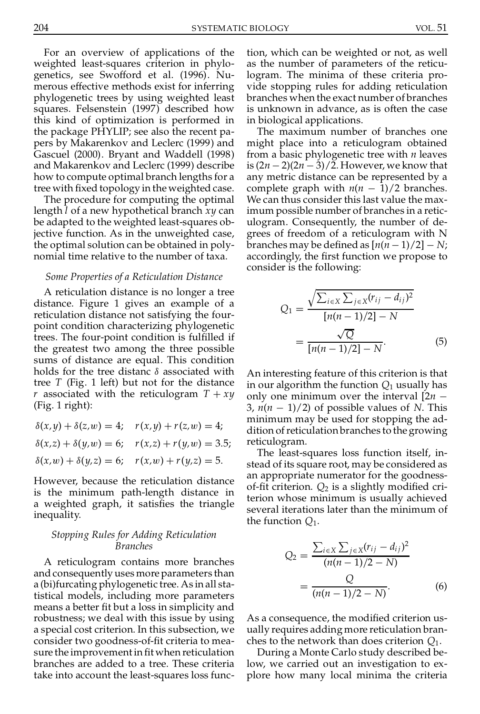For an overview of applications of the weighted least-squares criterion in phylo genetics, see Swofford et al. (1996). Nu merous effective methods exist for inferring phylogenetic trees by using weighted least squares. Felsenstein (1997) described how this kind of optimization is performed in the package PHYLIP; see also the recent pa pers by Makarenkov and Leclerc (1999) and Gascuel (2000). Bryant and Waddell (1998) and Makarenkov and Leclerc (1999) describe how to compute optimal branch lengths for a tree with fixed topology in the weighted case.

The procedure for computing the optimal length *l* of a new hypothetical branch *xy* can be adapted to the weighted least-squares objective function. As in the unweighted case, the optimal solution can be obtained in poly nomial time relative to the number of taxa.

#### *Some Properties of a Reticulation Distance*

A reticulation distance is no longer a tree distance. Figure 1 gives an example of a reticulation distance not satisfying the four point condition characterizing phylogenetic trees. The four-point condition is fulfilled if the greatest two among the three possible sums of distance are equal. This condition holds for the tree distanc  $\delta$  associated with tree *T* (Fig. 1 left) but not for the distance *r* associated with the reticulogram  $T + xy$ (Fig. 1 right):

 $\delta(x, y) + \delta(z, w) = 4;$   $r(x, y) + r(z, w) = 4;$  $\delta(x,z) + \delta(y,w) = 6;$   $r(x,z) + r(y,w) = 3.5;$  $\delta(x, w) + \delta(y, z) = 6;$   $r(x, w) + r(y, z) = 5.$ 

However, because the reticulation distance is the minimum path-length distance in a weighted graph, it satisfies the triangle inequality.

### *Stopping Rules for Adding Reticulation Branches*

A reticulogram contains more branches and consequently uses more parameters than a (bi)furcating phylogenetic tree. As in all statistical models, including more parameters means a better fit but a loss in simplicity and robustness; we deal with this issue by using a special cost criterion. In this subsection, we consider two goodness-of-fit criteria to measure the improvement in fit when reticulation branches are added to a tree. These criteria take into account the least-squares loss func-

tion, which can be weighted or not, as well as the number of parameters of the reticulogram. The minima of these criteria pro vide stopping rules for adding reticulation branches when the exact number of branches is unknown in advance, as is often the case in biological applications.

The maximum number of branches one might place into a reticulogram obtained from a basic phylogenetic tree with *n* leaves is  $(2n-2)(2n-3)/2$ . However, we know that any metric distance can be represented by a complete graph with  $n(n - 1)/2$  branches.<br>We can thus consider this last value the maximum possible number of branches in a retic ulogram. Consequently, the number of de grees of freedom of a reticulogram with N branches may be defined as  $[n(n-1)/2]-N;$ accordingly, the first function we propose to consider is the following:

$$
Q_1 = \frac{\sqrt{\sum_{i \in X} \sum_{j \in X} (r_{ij} - d_{ij})^2}}{[n(n-1)/2] - N}
$$
  
= 
$$
\frac{\sqrt{Q}}{[n(n-1)/2] - N}.
$$
 (5)

An interesting feature of this criterion is that in our algorithm the function *Q*<sup>1</sup> usually has only one minimum over the interval  $[2n -]$ 3,  $n(n-1)/2$ ) of possible values of *N*. This minimum may be used for stopping the ad dition ofreticulation branches to the growing reticulogram.

The least-squares loss function itself, in stead of its square root, may be considered as an appropriate numerator for the goodness of-fit criterion.  $Q_2$  is a slightly modified criterion whose minimum is usually achieved several iterations later than the minimum of the function *Q*1.

$$
Q_2 = \frac{\sum_{i \in X} \sum_{j \in X} (r_{ij} - d_{ij})^2}{(n(n-1)/2 - N)}
$$
  
= 
$$
\frac{Q}{(n(n-1)/2 - N)}.
$$
 (6)

As a consequence, the modified criterion usually requires adding more reticulation bran ches to the network than does criterion *Q*1.

During a Monte Carlo study described below, we carried out an investigation to ex plore how many local minima the criteria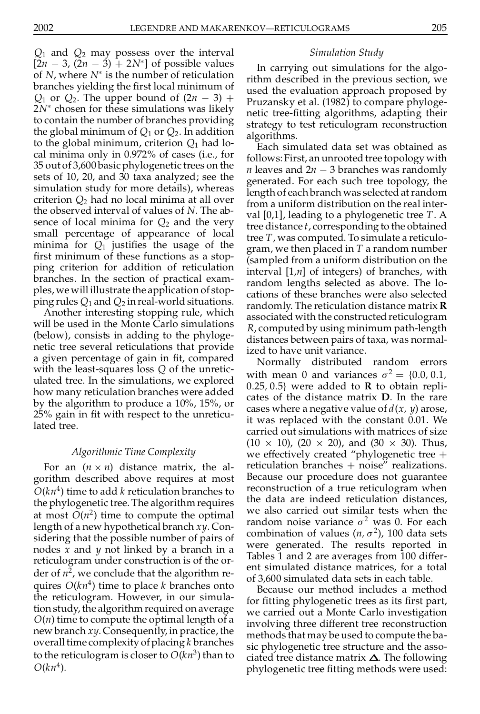*Q*<sup>1</sup> and *Q*<sup>2</sup> may possess over the interval  $[2n - 3, (2n - 3) + 2N^*]$  of possible values of *N*, where  $N^*$  is the number of reticulation  $\mathbf{r}$ branches yielding the first local minimum of  $Q_1$  or  $Q_2$ . The upper bound of  $(2n - 3)$  +  $2N^*$  chosen for these simulations was likely to contain the number of branches providing the global minimum of  $Q_1$  or  $Q_2$ . In addition to the global minimum, criterion *Q*<sup>1</sup> had local minima only in 0.972% of cases (i.e., for 35 out of 3,600 basic phylogenetic trees on the sets of 10, 20, and 30 taxa analyzed; see the simulation study for more details), whereas criterion *Q*<sup>2</sup> had no local minima at all over the observed interval of values of *N*. The absence of local minima for  $Q_2$  and the very small percentage of appearance of local minima for  $Q_1$  justifies the usage of the first minimum of these functions as a stopping criterion for addition of reticulation branches. In the section of practical exam ples, we will illustrate the application of stop ping rules  $Q_1$  and  $Q_2$  in real-world situations. d) and pay possess over the interval<br>is simulations for the study of the study of the study of the studies of the studies of the studies of the studies of the studies of the studies of the studies of the studies of the st

Another interesting stopping rule, which will be used in the Monte Carlo simulations (below), consists in adding to the phyloge netic tree several reticulations that provide a given percentage of gain in fit, compared with the least-squares loss *Q* of the unretic ulated tree. In the simulations, we explored by the algorithm to produce a 10%, 15%, or 25% gain in fit with respect to the unreticulated tree.

## *Algorithmic Time Complexity*

For an  $(n \times n)$  distance matrix, the algorithm described above requires at most  $O(kn^4)$  time to add *k* reticulation branches to  $\frac{r}{n^4}$ the phylogenetic tree. The algorithm requires at most  $O(n^2)$  time to compute the optimal length of a new hypothetical branch *xy*. Considering that the possible number of pairs of nodes *x* and *y* not linked by a branch in a reticulogram under construction is of the or der of  $n^2$ , we conclude that the algorithm requires  $O(kn^4)$  time to place *k* branches onto the reticulogram. However, in our simulation study, the algorithm required on average *O*(*n*) time to compute the optimal length of a new branch *xy*. Consequently, in practice, the overall time complexity of placing *k* branches to the reticulogram is closer to  $O(kn^3)$  than to  $\overline{C}$  $O(kn^4)$ .

In carrying out simulations for the algo rithm described in the previous section, we used the evaluation approach proposed by Pruzansky et al. (1982) to compare phyloge netic tree-fitting algorithms, adapting their strategy to test reticulogram reconstruction algorithms.

Each simulated data set was obtained as follows: First, an unrooted tree topology with *n* leaves and  $2n - 3$  branches was randomly generated. For each such tree topology, the length of each branch was selected atrandom from a uniform distribution on the real inter val [0,1], leading to a phylogenetic tree *T*. A tree distance *t*, corresponding to the obtained tree *T*, was computed. To simulate a reticulo gram, we then placed in *T* a random number (sampled from a uniform distribution on the interval [1,*n*] of integers) of branches, with random lengths selected as above. The lo cations of these branches were also selected randomly. The reticulation distance matrix **R** associated with the constructed reticulogram *R*, computed by using minimum path-length distances between pairs of taxa, was normalized to have unit variance.

how many reticulation branches were added<br>the distance matrix **D**. In the rare Normally distributed random errors with mean 0 and variances  $\sigma^2 = \{0.0, 0.1, \ldots\}$ 0.25, 0.5} were added to **R** to obtain replicases where a negative value of *d*(*x, y*) arose, it was replaced with the constant 0.01. We carried out simulations with matrices of size  $(10 \times 10)$ ,  $(20 \times 20)$ , and  $(30 \times 30)$ . Thus, we effectively created "phylogenetic tree  $+$ reticulation branches  $+$  noise" realizations.<br>Because our procedure does not guarantee reconstruction of a true reticulogram when the data are indeed reticulation distances, we also carried out similar tests when the random noise variance  $\sigma^2$  was 0. For each combination of values  $(n, \sigma^2)$ , 100 data sets were generated. The results reported in Tables 1 and 2 are averages from 100 differ ent simulated distance matrices, for a total of 3,600 simulated data sets in each table.

> Because our method includes a method for fitting phylogenetic trees as its first part, we carried out a Monte Carlo investigation involving three different tree reconstruction methods that may be used to compute the ba sic phylogenetic tree structure and the asso ciated tree distance matrix  $\Delta$ . The following phylogenetic tree tting methods were used: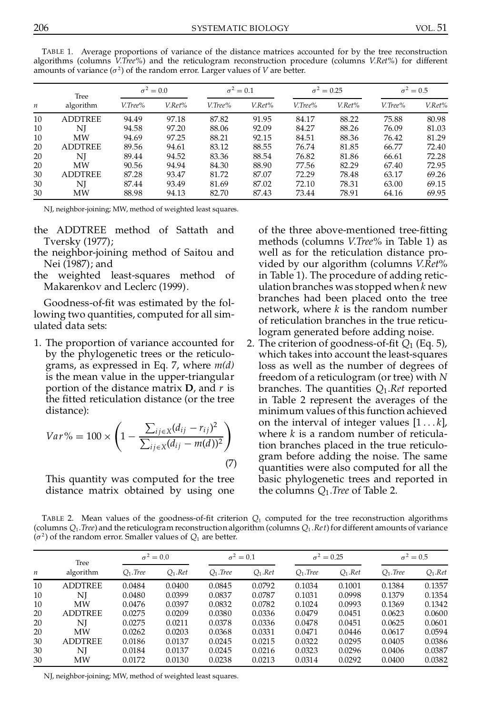| $\boldsymbol{n}$ | Tree<br>algorithm | $\sigma^2 = 0.0$ |        | $\sigma^2=0.1$ |        | $\sigma^2 = 0.25$ |        | $\sigma^2=0.5$ |        |
|------------------|-------------------|------------------|--------|----------------|--------|-------------------|--------|----------------|--------|
|                  |                   | V.Tree%          | V.Ret% | V.Tree%        | V.Ret% | V.Tree%           | V.Ret% | V.Tree%        | V.Ret% |
| 10               | <b>ADDTREE</b>    | 94.49            | 97.18  | 87.82          | 91.95  | 84.17             | 88.22  | 75.88          | 80.98  |
| 10               | NI                | 94.58            | 97.20  | 88.06          | 92.09  | 84.27             | 88.26  | 76.09          | 81.03  |
| 10               | <b>MW</b>         | 94.69            | 97.25  | 88.21          | 92.15  | 84.51             | 88.36  | 76.42          | 81.29  |
| 20               | <b>ADDTREE</b>    | 89.56            | 94.61  | 83.12          | 88.55  | 76.74             | 81.85  | 66.77          | 72.40  |
| 20               | NI                | 89.44            | 94.52  | 83.36          | 88.54  | 76.82             | 81.86  | 66.61          | 72.28  |
| 20               | <b>MW</b>         | 90.56            | 94.94  | 84.30          | 88.90  | 77.56             | 82.29  | 67.40          | 72.95  |
| 30               | <b>ADDTREE</b>    | 87.28            | 93.47  | 81.72          | 87.07  | 72.29             | 78.48  | 63.17          | 69.26  |
| 30               | NI                | 87.44            | 93.49  | 81.69          | 87.02  | 72.10             | 78.31  | 63.00          | 69.15  |
| 30               | MW                | 88.98            | 94.13  | 82.70          | 87.43  | 73.44             | 78.91  | 64.16          | 69.95  |

TABLE 1. Average proportions of variance of the distance matrices accounted for by the tree reconstruction algorithms (columns *V.Tree%*) and the reticulogram reconstruction procedure (columns *V.Ret%*) for different amounts of variance  $(\sigma^2)$  of the random error. Larger values of *V* are better.

NJ, neighbor-joining; MW, method of weighted least squares.

- the ADDTREE method of Sattath and Tversky (1977);
- the neighbor-joining method of Saitou and Nei (1987); and
- the weighted least-squares method of Makarenkov and Leclerc (1999).

Goodness-of-fit was estimated by the following two quantities, computed for all sim ulated data sets:

1. The proportion of variance accounted for by the phylogenetic trees or the reticulo grams, as expressed in Eq. 7, where *m(d)* is the mean value in the upper-triangular portion of the distance matrix **D**, and *r*is the fitted reticulation distance (or the tree distance):

$$
Var\% = 100 \times \left(1 - \frac{\sum_{ij \in X} (d_{ij} - r_{ij})^2}{\sum_{ij \in X} (d_{ij} - m(d))^2}\right)
$$
\n(7)

This quantity was computed for the tree distance matrix obtained by using one of the three above-mentioned tree-fitting methods (columns *V.Tree*% in Table 1) as well as for the reticulation distance pro vided by our algorithm (columns *V.Ret*% in Table 1). The procedure of adding retic ulation branches was stopped when *k* new branches had been placed onto the tree network, where *k* is the random number of reticulation branches in the true reticulogram generated before adding noise.

 $\sqrt{2}$ 2. The criterion of goodness-of-fit  $Q_1$  (Eq. 5), which takes into account the least-squares loss as well as the number of degrees of freedom of a reticulogram (ortree) with *N* branches. The quantities *Q*1.*Ret* reported in Table 2 represent the averages of the minimum values of this function achieved on the interval of integer values  $[1 \dots k]$ , where *k* is a random number of reticulation branches placed in the true reticulo gram before adding the noise. The same quantities were also computed for all the basic phylogenetic trees and reported in the columns *Q*1.*Tree* of Table 2.

TABLE 2. Mean values of the goodness-of-fit criterion  $Q_1$  computed for the tree reconstruction algorithms (columns  $Q_1$ .*Tree*) and the reticulogram reconstruction algorithm (columns  $Q_1$ .*Ret*) for different amounts of variance  $(\sigma^2)$  of the random error. Smaller values of  $Q_1$  are better.

|                  | Tree           | $\sigma^2=0.0$ |            | $\sigma^2=0.1$ |            | $\sigma^2 = 0.25$ |             | $\sigma^2 = 0.5$ |            |
|------------------|----------------|----------------|------------|----------------|------------|-------------------|-------------|------------------|------------|
| $\boldsymbol{n}$ | algorithm      | $O_1$ . Tree   | $Q_1$ .Ret | $O_1$ . Tree   | $Q_1$ .Ret | $O_1$ . Tree      | $O_1$ . Ret | $O_1$ . Tree     | $Q_1$ .Ret |
| 10               | <b>ADDTREE</b> | 0.0484         | 0.0400     | 0.0845         | 0.0792     | 0.1034            | 0.1001      | 0.1384           | 0.1357     |
| 10               | NI             | 0.0480         | 0.0399     | 0.0837         | 0.0787     | 0.1031            | 0.0998      | 0.1379           | 0.1354     |
| 10               | MW             | 0.0476         | 0.0397     | 0.0832         | 0.0782     | 0.1024            | 0.0993      | 0.1369           | 0.1342     |
| 20               | <b>ADDTREE</b> | 0.0275         | 0.0209     | 0.0380         | 0.0336     | 0.0479            | 0.0451      | 0.0623           | 0.0600     |
| 20               | NI             | 0.0275         | 0.0211     | 0.0378         | 0.0336     | 0.0478            | 0.0451      | 0.0625           | 0.0601     |
| 20               | MW             | 0.0262         | 0.0203     | 0.0368         | 0.0331     | 0.0471            | 0.0446      | 0.0617           | 0.0594     |
| 30               | <b>ADDTREE</b> | 0.0186         | 0.0137     | 0.0245         | 0.0215     | 0.0322            | 0.0295      | 0.0405           | 0.0386     |
| 30               | NI             | 0.0184         | 0.0137     | 0.0245         | 0.0216     | 0.0323            | 0.0296      | 0.0406           | 0.0387     |
| 30               | MW             | 0.0172         | 0.0130     | 0.0238         | 0.0213     | 0.0314            | 0.0292      | 0.0400           | 0.0382     |

NJ, neighbor-joining; MW, method of weighted least squares.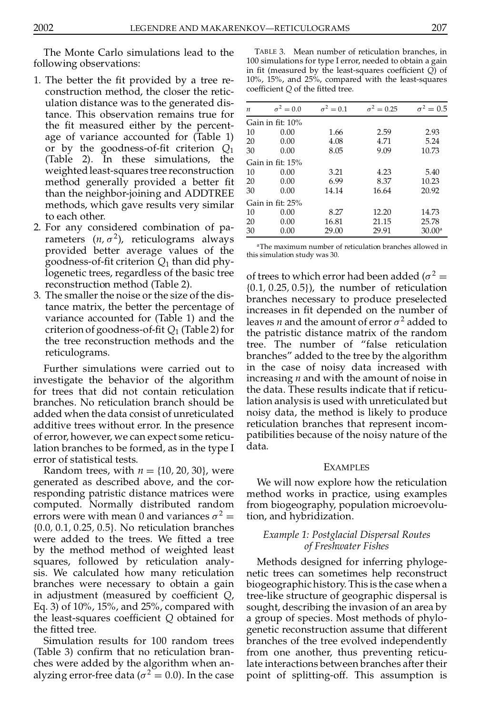The Monte Carlo simulations lead to the following observations:

- 1. The better the fit provided by a tree reconstruction method, the closer the retic ulation distance was to the generated distance. This observation remains true for the fit measured either by the percentage of variance accounted for (Table 1) or by the goodness-of-fit criterion  $Q_1$ (Table 2). In these simulations, the weightedleast-squares tree reconstruction method generally provided a better fit than the neighbor-joining and ADDTREE methods, which gave results very similar to each other.
- 2. For any considered combination of pa rameters  $(n, \sigma^2)$ , reticulograms always provided better average values of the goodness-of-fit criterion  $Q_1$  than did phylogenetic trees, regardless of the basic tree reconstruction method (Table 2).
- 3. The smaller the noise or the size of the distance matrix, the better the percentage of variance accounted for (Table 1) and the criterion of goodness-of-fit  $Q_1$  (Table 2) for the tree reconstruction methods and the reticulograms.

Further simulations were carried out to investigate the behavior of the algorithm for trees that did not contain reticulation branches. No reticulation branch should be added when the data consist of unreticulated additive trees without error. In the presence of error, however, we can expect some reticulation branches to be formed, as in the type I error of statistical tests.

Random trees, with  $n = \{10, 20, 30\}$ , were generated as described above, and the cor responding patristic distance matrices were computed. Normally distributed random errors were with mean 0 and variances  $\sigma^2 =$  tio f0:0*,* 0:1*,* 0:25*,* 0:5g. No reticulation branches were added to the trees. We fitted a tree by the method method of weighted least squares, followed by reticulation analy sis. We calculated how many reticulation branches were necessary to obtain a gain in adjustment (measured by coefficient *Q*, Eq. 3) of 10%, 15%, and 25%, compared with the least-squares coefficient  $Q$  obtained for the fitted tree.

Simulation results for 100 random trees (Table 3) confirm that no reticulation branches were added by the algorithm when an alyzing error-free data ( $\sigma^2 = 0.0$ ). In the case

TABLE 3. Mean number of reticulation branches, in 100 simulations for type I error, needed to obtain a gain in fit (measured by the least-squares coefficient *Q*) of 10%, 15%, and 25%, compared with the least-squares coefficient *Q* of the fitted tree.

| n                | $\sigma^2=0.0$   | $\sigma^2=0.1$ | $\sigma^2 = 0.25$ | $\sigma^2=0.5$  |  |  |  |  |  |
|------------------|------------------|----------------|-------------------|-----------------|--|--|--|--|--|
|                  | Gain in fit: 10% |                |                   |                 |  |  |  |  |  |
| 10               | 0.00             | 1.66           | 2.59              | 2.93            |  |  |  |  |  |
| 20               | 0.00             | 4.08           | 4.71              | 5.24            |  |  |  |  |  |
| 30               | 0.00             | 8.05           | 9.09              | 10.73           |  |  |  |  |  |
| Gain in fit: 15% |                  |                |                   |                 |  |  |  |  |  |
| 10               | 0.00             | 3.21           | 4.23              | 5.40            |  |  |  |  |  |
| 20               | 0.00             | 6.99           | 8.37              | 10.23           |  |  |  |  |  |
| 30               | 0.00             | 14.14          | 16.64             | 20.92           |  |  |  |  |  |
| Gain in fit: 25% |                  |                |                   |                 |  |  |  |  |  |
| 10               | 0.00             | 8.27           | 12.20             | 14.73           |  |  |  |  |  |
| 20               | 0.00             | 16.81          | 21.15             | 25.78           |  |  |  |  |  |
| 30               | 0.00             | 29.00          | 29.91             | $30.00^{\circ}$ |  |  |  |  |  |

<sup>a</sup>The maximum number of reticulation branches allowed in this simulation study was 30.

of trees to which error had been added  $(\sigma^2 =$ f0:1*,* 0:25*,* 0:5g), the number of reticulation branches necessary to produce preselected increases in fit depended on the number of leaves *n* and the amount of error  $\sigma^2$  added to the patristic distance matrix of the random tree. The number of "false reticulation branches" added to the tree by the algorithm in the case of noisy data increased with increasing *n* and with the amount of noise in the data. These results indicate that if reticulation analysis is used with unreticulated but noisy data, the method is likely to produce reticulation branches that represent incom patibilities because of the noisy nature of the data.

### EXAMPLES

We will now explore how the reticulation method works in practice, using examples from biogeography, population microevolution, and hybridization.

# *Example 1: Postglacial Dispersal Routes of Freshwater Fishes*

Methods designed for inferring phyloge netic trees can sometimes help reconstruct biogeographichistory. This is the case when a tree-like structure of geographic dispersal is sought, describing the invasion of an area by a group of species. Most methods of phylo genetic reconstruction assume that different branches of the tree evolved independently from one another, thus preventing reticulate interactions between branches after their point of splitting-off. This assumption is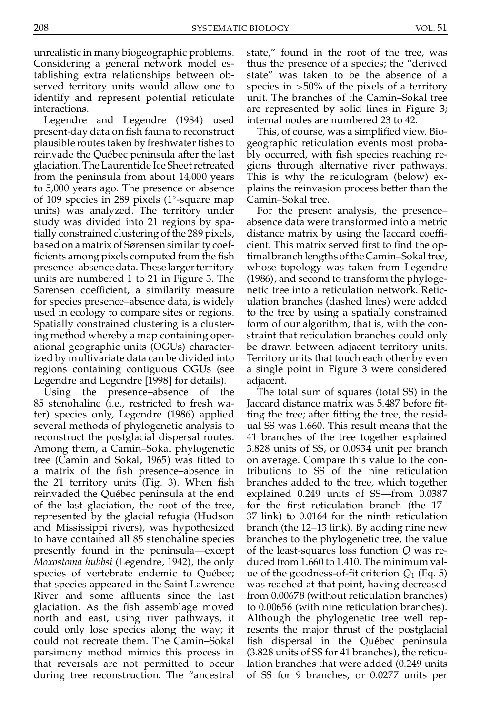unrealistic in many biogeographic problems. Considering a general network model establishing extra relationships between ob served territory units would allow one to identify and represent potential reticulate interactions.

Legendre and Legendre (1984) used present-day data on fish fauna to reconstruct plausible routes taken by freshwater fishes to reinvade the Québec peninsula after the last glaciation.The Laurentide Ice Sheetretreated from the peninsula from about 14,000 years to 5,000 years ago. The presence or absence of 109 species in 289 pixels (1 $\degree$ -square map C units) was analyzed. The territory under study was divided into 21 regions by spatially constrained clustering of the 289 pixels, based on a matrix of Sørensen similarity coef ficients among pixels computed from the fish presence–absence data. These larger territory units are numbered 1 to 21 in Figure 3. The Sørensen coefficient, a similarity measure for species presence–absence data, is widely used in ecology to compare sites or regions. Spatially constrained clustering is a clustering method whereby a map containing oper ational geographic units (OGUs) characterized by multivariate data can be divided into regions containing contiguous OGUs (see Legendre and Legendre [1998] for details).

Using the presence–absence of the 85 stenohaline (i.e., restricted to fresh water) species only, Legendre (1986) applied several methods of phylogenetic analysis to reconstruct the postglacial dispersal routes. Among them, a Camin–Sokal phylogenetic tree (Camin and Sokal, 1965) was fitted to a matrix of the fish presence–absence in the 21 territory units  $(Fig. 3)$ . When fish reinvaded the Québec peninsula at the end of the last glaciation, the root of the tree, represented by the glacial refugia (Hudson and Mississippi rivers), was hypothesized to have contained all 85 stenohaline species presently found in the peninsula—except *Moxostoma hubbsi* (Legendre, 1942), the only species of vertebrate endemic to Québec; that species appeared in the Saint Lawrence River and some affluents since the last glaciation. As the fish assemblage moved north and east, using river pathways, it could only lose species along the way; it could not recreate them. The Camin–Sokal parsimony method mimics this process in that reversals are not permitted to occur during tree reconstruction. The "ancestral

state," found in the root of the tree, was thus the presence of a species; the "derived state" was taken to be the absence of a species in >50% of the pixels of a territory unit. The branches of the Camin–Sokal tree are represented by solid lines in Figure 3; internal nodes are numbered 23 to 42.

This, of course, was a simplified view. Biogeographic reticulation events most proba bly occurred, with fish species reaching regions through alternative river pathways. This is why the reticulogram (below) ex plains the reinvasion process better than the Camin–Sokal tree.

For the present analysis, the presence– absence data were transformed into a metric distance matrix by using the Jaccard coefficient. This matrix served first to find the optimal branch lengths of the Camin-Sokal tree, whose topology was taken from Legendre (1986), and second to transform the phyloge netic tree into a reticulation network. Retic ulation branches (dashed lines) were added to the tree by using a spatially constrained form of our algorithm, that is, with the con straint that reticulation branches could only be drawn between adjacent territory units. Territory units that touch each other by even a single point in Figure 3 were considered adjacent.

The total sum of squares (total SS) in the Jaccard distance matrix was 5.487 before fitting the tree; after fitting the tree, the residual SS was 1.660. This result means that the 41 branches of the tree together explained 3.828 units of SS, or 0.0934 unit per branch on average. Compare this value to the contributions to SS of the nine reticulation branches added to the tree, which together explained 0.249 units of SS—from 0.0387 for the first reticulation branch (the 17– 37 link) to 0.0164 for the ninth reticulation branch (the 12–13 link). By adding nine new branches to the phylogenetic tree, the value of the least-squares loss function *Q* was reduced from 1.660 to 1.410. The minimum val ue of the goodness-of-fit criterion  $Q_1$  (Eq. 5) was reached at that point, having decreased from 0.00678 (without reticulation branches) to 0.00656 (with nine reticulation branches). Although the phylogenetic tree well rep resents the major thrust of the postglacial fish dispersal in the Québec peninsula (3.828 units of SS for 41 branches), the reticulation branches that were added (0.249 units of SS for 9 branches, or 0.0277 units per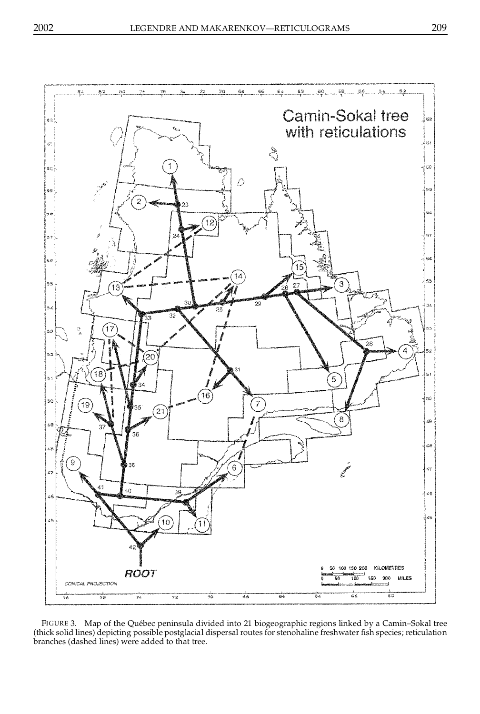

FIGURE 3. Map of the Québec peninsula divided into 21 biogeographic regions linked by a Camin–Sokal tree (thick solid lines) depicting possible postglacial dispersal routes for stenohaline freshwater fish species; reticulation branches (dashed lines) were added to that tree.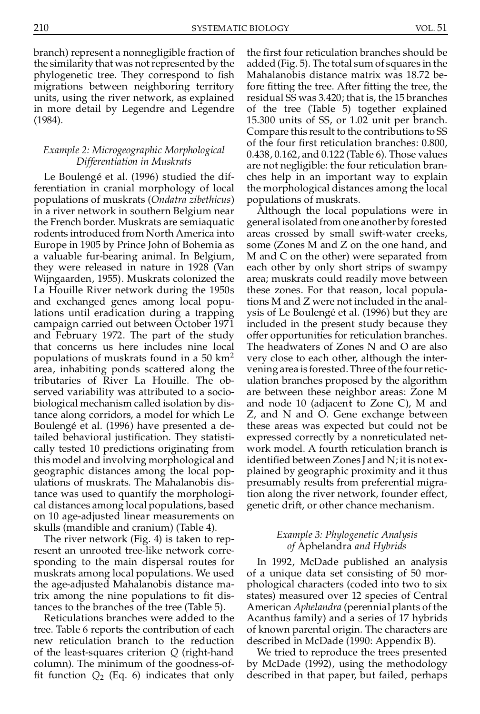branch) represent a nonnegligible fraction of the similarity that was not represented by the phylogenetic tree. They correspond to fish migrations between neighboring territory units, using the river network, as explained in more detail by Legendre and Legendre (1984).

# *Example 2: Microgeographic Morphological Differentiation in Muskrats*

Le Boulengé et al. (1996) studied the differentiation in cranial morphology of local populations of muskrats (*Ondatra zibethicus*) in a river network in southern Belgium near the French border. Muskrats are semiaquatic rodents introduced from North America into Europe in 1905 by Prince John of Bohemia as a valuable fur-bearing animal. In Belgium, they were released in nature in 1928 (Van Wijngaarden, 1955). Muskrats colonized the La Houille River network during the 1950s and exchanged genes among local populations until eradication during a trapping campaign carried out between October 1971 and February 1972. The part of the study that concerns us here includes nine local populations of muskrats found in a  $50 \text{ km}^2$ area, inhabiting ponds scattered along the tributaries of River La Houille. The ob served variability was attributed to a socio biological mechanism called isolation by distance along corridors, a model for which Le Boulengé et al. (1996) have presented a detailed behavioral justification. They statistically tested 10 predictions originating from this model and involving morphological and geographic distances among the local pop ulations of muskrats. The Mahalanobis distance was used to quantify the morphologi cal distances among local populations, based on 10 age-adjusted linear measurements on skulls (mandible and cranium) (Table 4).

The river network (Fig. 4) is taken to rep resent an unrooted tree-like network corre sponding to the main dispersal routes for muskrats among local populations. We used the age-adjusted Mahalanobis distance matrix among the nine populations to fit distances to the branches of the tree (Table 5).

Reticulations branches were added to the tree. Table 6 reports the contribution of each new reticulation branch to the reduction of the least-squares criterion *Q* (right-hand column). The minimum of the goodness-of fit function  $Q_2$  (Eq. 6) indicates that only

the first four reticulation branches should be added (Fig. 5). The total sum of squares in the Mahalanobis distance matrix was 18.72 before fitting the tree. After fitting the tree, the residual SS was 3.420; that is, the 15 branches of the tree (Table 5) together explained 15.300 units of SS, or 1.02 unit per branch. Compare this result to the contributions to SS of the four first reticulation branches: 0.800, 0.438, 0.162, and 0.122 (Table 6). Those values are not negligible: the four reticulation bran ches help in an important way to explain the morphological distances among the local populations of muskrats.

Although the local populations were in general isolated from one another by forested areas crossed by small swift-water creeks, some (Zones M and Z on the one hand, and M and C on the other) were separated from each other by only short strips of swampy area; muskrats could readily move between these zones. For that reason, local populations M and Z were not included in the anal ysis of Le Boulenge´ et al. (1996) but they are included in the present study because they offer opportunities for reticulation branches. The headwaters of Zones N and O are also very close to each other, although the inter vening area is forested. Three of the four reticulation branches proposed by the algorithm are between these neighbor areas: Zone M and node 10 (adjacent to Zone C), M and Z, and N and O. Gene exchange between these areas was expected but could not be expressed correctly by a nonreticulated net work model. A fourth reticulation branch is identified between Zones J and N; it is not explained by geographic proximity and it thus presumably results from preferential migration along the river network, founder effect, genetic drift, or other chance mechanism.

# *Example 3: Phylogenetic Analysis of* Aphelandra *and Hybrids*

In 1992, McDade published an analysis of a unique data set consisting of 50 mor phological characters (coded into two to six states) measured over 12 species of Central American *Aphelandra* (perennial plants of the Acanthus family) and a series of 17 hybrids of known parental origin. The characters are described in McDade (1990: Appendix B).

We tried to reproduce the trees presented by McDade (1992), using the methodology described in that paper, but failed, perhaps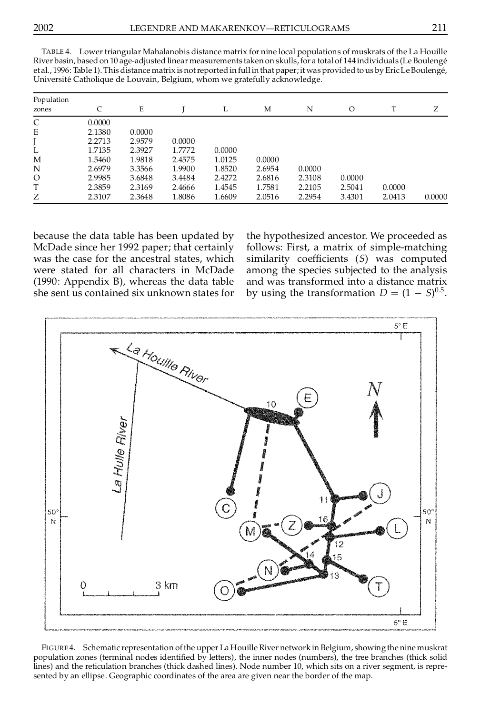|                     | $\overline{\phantom{a}}$ |        | $\tilde{}$ | $\tilde{}$ |        | $\tilde{}$ |         |        |        |
|---------------------|--------------------------|--------|------------|------------|--------|------------|---------|--------|--------|
| Population<br>zones | C                        | E      |            | L          | М      | N          | $\circ$ | T      | Ζ      |
| C                   | 0.0000                   |        |            |            |        |            |         |        |        |
| E                   | 2.1380                   | 0.0000 |            |            |        |            |         |        |        |
|                     | 2.2713                   | 2.9579 | 0.0000     |            |        |            |         |        |        |
| L                   | 1.7135                   | 2.3927 | 1.7772     | 0.0000     |        |            |         |        |        |
| M                   | 1.5460                   | 1.9818 | 2.4575     | 1.0125     | 0.0000 |            |         |        |        |
| N                   | 2.6979                   | 3.3566 | 1.9900     | 1.8520     | 2.6954 | 0.0000     |         |        |        |
| O                   | 2.9985                   | 3.6848 | 3.4484     | 2.4272     | 2.6816 | 2.3108     | 0.0000  |        |        |
| T                   | 2.3859                   | 2.3169 | 2.4666     | 1.4545     | 1.7581 | 2.2105     | 2.5041  | 0.0000 |        |
| Ζ                   | 2.3107                   | 2.3648 | 1.8086     | 1.6609     | 2.0516 | 2.2954     | 3.4301  | 2.0413 | 0.0000 |

TABLE 4. Lower triangular Mahalanobis distance matrix for nine local populations of muskrats of the La Houille River basin, basedon 10 age-adjusted linear measurements takenon skulls,for a total of 144 individuals (Le Boulenge´ et al., 1996: Table 1). This distance matrix is not reported in full in that paper; it was provided to us by Eric Le Boulengé, Université Catholique de Louvain, Belgium, whom we gratefully acknowledge.

because the data table has been updated by McDade since her 1992 paper; that certainly was the case for the ancestral states, which were stated for all characters in McDade (1990: Appendix B), whereas the data table she sent us contained six unknown states for the hypothesized ancestor. We proceeded as follows: First, a matrix of simple-matching similarity coefficients (*S*) was computed among the species subjected to the analysis and was transformed into a distance matrix by using the transformation  $D = (1 - S)^{0.5}$ .



FIGURE 4. Schematic representation of the upper La Houille River network in Belgium, showing the nine muskrat population zones (terminal nodes identified by letters), the inner nodes (numbers), the tree branches (thick solid lines) and the reticulation branches (thick dashed lines). Node number 10, which sits on a river segment, is repre sented by an ellipse. Geographic coordinates of the area are given near the border of the map.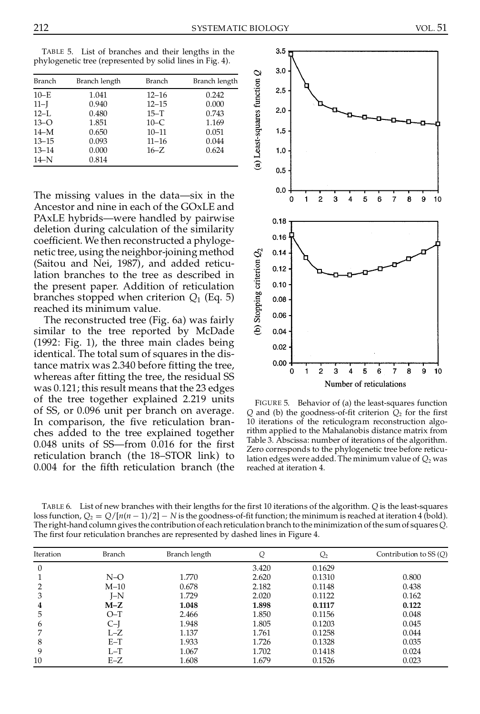| <b>Branch</b> | Branch length | <b>Branch</b> | Branch length |
|---------------|---------------|---------------|---------------|
| $10-E$        | 1.041         | $12 - 16$     | 0.242         |
| $11-I$        | 0.940         | $12 - 15$     | 0.000         |
| $12-L$        | 0.480         | $15 - T$      | 0.743         |
| $13 - O$      | 1.851         | $10-C$        | 1.169         |
| $14-M$        | 0.650         | $10 - 11$     | 0.051         |
| $13 - 15$     | 0.093         | $11 - 16$     | 0.044         |
| $13 - 14$     | 0.000         | $16 - Z$      | 0.624         |
| $14-N$        | 0.814         |               |               |

The missing values in the data—six in the Ancestor and nine in each of the GOxLE and PAxLE hybrids—were handled by pairwise deletion during calculation of the similarity coefficient. We then reconstructed a phylogenetic tree, using the neighbor-joining method<br>(Saitou and Nei, 1987), and added reticulation branches to the tree as described in<br>the present paper. Addition of reticulation<br>branches stopped when criterion  $Q_1$  (Eq. 5)<br>r (Saitou and Nei, 1987), and added reticulation branches to the tree as described in the present paper. Addition of reticulation branches stopped when criterion *Q*<sup>1</sup> (Eq. 5) reached its minimum value.

The reconstructed tree (Fig. 6a) was fairly similar to the tree reported by McDade (1992: Fig. 1), the three main clades being identical. The total sum of squares in the distance matrix was 2.340 before fitting the tree, whereas after fitting the tree, the residual SS was 0.121; this result means that the 23 edges of the tree together explained 2.219 units of SS, or 0.096 unit per branch on average. In comparison, the five reticulation branches added to the tree explained together  $0.048$  units of SS—from  $0.016$  for the first reticulation branch (the 18–STOR link) to 0.004 for the fifth reticulation branch (the



FIGURE 5. Behavior of (a) the least-squares function  $Q$  and (b) the goodness-of-fit criterion  $Q_2$  for the first 10 iterations of the reticulogram reconstruction algo rithm applied to the Mahalanobis distance matrix from Table 3. Abscissa: number of iterations of the algorithm. Zero corresponds to the phylogenetic tree before reticulation edges were added. The minimum value of  $Q_2$  was reached at iteration 4.

TABLE 6. List of new branches with their lengths for the first 10 iterations of the algorithm. *Q* is the least-squares loss function,  $Q_2 = Q/[n(n-1)/2] - N$  is the goodness-of-fit function; the minimum is reached at iteration 4 (bold).<br>The right-hand column gives the contribution of each reticulation branch to the minimization of the sum of sq The first four reticulation branches are represented by dashed lines in Figure 4.

| Iteration | Branch | Branch length | Q     | $\mathcal{Q}_2$ | Contribution to $SS(O)$ |
|-----------|--------|---------------|-------|-----------------|-------------------------|
| 0         |        |               | 3.420 | 0.1629          |                         |
|           | $N-O$  | 1.770         | 2.620 | 0.1310          | 0.800                   |
|           | $M-10$ | 0.678         | 2.182 | 0.1148          | 0.438                   |
| 3         | $I-N$  | 1.729         | 2.020 | 0.1122          | 0.162                   |
| 4         | $M-Z$  | 1.048         | 1.898 | 0.1117          | 0.122                   |
| 5         | $O-T$  | 2.466         | 1.850 | 0.1156          | 0.048                   |
| b         | C-I    | 1.948         | 1.805 | 0.1203          | 0.045                   |
|           | $L-Z$  | 1.137         | 1.761 | 0.1258          | 0.044                   |
| 8         | $E-T$  | 1.933         | 1.726 | 0.1328          | 0.035                   |
| 9         | $L-T$  | 1.067         | 1.702 | 0.1418          | 0.024                   |
| 10        | $E-Z$  | 1.608         | 1.679 | 0.1526          | 0.023                   |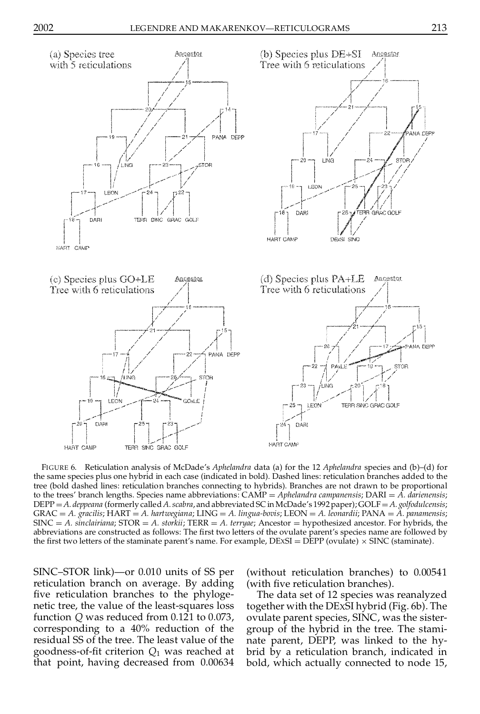

SOM F

TERR SING GRAC GOLF

FIGURE 6. Reticulation analysis of McDade's *Aphelandra* data (a) for the 12 *Aphelandra* species and (b)–(d) for the same species plus one hybrid in each case (indicated in bold). Dashed lines: reticulation branches added to the tree (bold dashed lines: reticulation branches connecting to hybrids). Branches are not drawn to be proportional to the trees' branch lengths. Species name abbreviations: CAMP = Aphelandra campanensis; DARI = A. darienensis;  $DEPP = A$ . *deppeana* (formerly called *A. scabra*, and abbreviated SC in McDade's 1992 paper); GOLF = A. golfodulcensis; GRAC = A. gracilis; HART = A. hartwegiana; LING = A. lingua-bovis; LEON = A. leonardii; PANA = A. panamensis;<br>SINC = A. sinclairiana; STOR = A. storkii; TERR = A. terryae; Ancestor = hypothesized ancestor. For hybrids, the abbreviations are constructed as follows: The first two letters of the ovulate parent's species name are followed by the first two letters of the staminate parent's name. For example,  $DEXSI = D\overline{EPP}$  (ovulate)  $\times$  SINC (staminate).

SINC–STOR link)—or 0.010 units of SS per reticulation branch on average. By adding five reticulation branches to the phylogenetic tree, the value of the least-squares loss function *Q* was reduced from 0.121 to 0.073, corresponding to a 40% reduction of the residual SS of the tree. The least value of the goodness-of-fit criterion  $Q_1$  was reached at that point, having decreased from 0.00634

**LEON** 

DAR

HART CAMP

(without reticulation branches) to 0.00541 (with five reticulation branches).

The data set of 12 species was reanalyzed together with the DEXSI hybrid (Fig. 6b). The ovulate parent species, SINC, was the sister group of the hybrid in the tree. The stami nate parent, DEPP, was linked to the hy brid by a reticulation branch, indicated in bold, which actually connected to node 15,

 $STO$ 

PANA DEPE

0R

TERR SINC GRAC GOLF

**DAB** 

**HART CAME**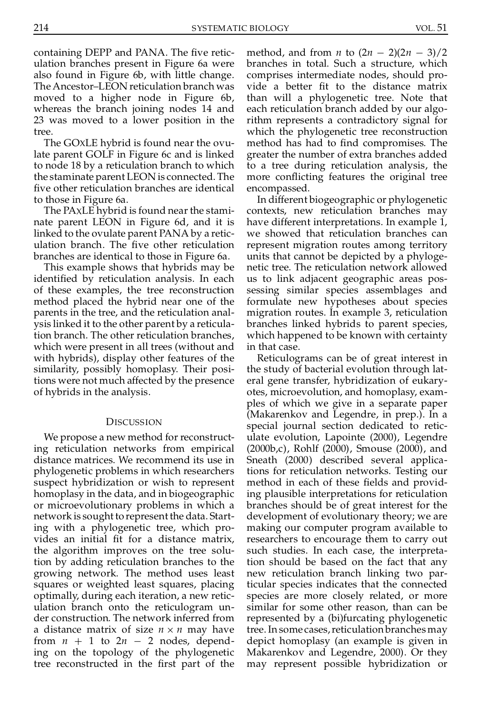containing DEPP and PANA. The five reticulation branches present in Figure 6a were also found in Figure 6b, with little change. The Ancestor–LEON reticulation branch was moved to a higher node in Figure 6b, whereas the branch joining nodes 14 and 23 was moved to a lower position in the tree.

The GOXLE hybrid is found near the ovulate parent GOLF in Figure 6c and is linked to node 18 by a reticulation branch to which the staminate parent LEON is connected. The five other reticulation branches are identical to those in Figure 6a.

The PAxLE hybrid is found near the staminate parent LEON in Figure 6d, and it is linked to the ovulate parent PANA by a retic ulation branch. The five other reticulation branches are identical to those in Figure 6a.

This example shows that hybrids may be identified by reticulation analysis. In each of these examples, the tree reconstruction method placed the hybrid near one of the parents in the tree, and the reticulation anal ysis linked it to the other parent by a reticulation branch. The other reticulation branches, which were present in all trees (without and with hybrids), display other features of the similarity, possibly homoplasy. Their positions were not much affected by the presence of hybrids in the analysis.

#### **DISCUSSION**

We propose a new method for reconstructing reticulation networks from empirical distance matrices. We recommend its use in phylogenetic problems in which researchers suspect hybridization or wish to represent homoplasy in the data, and in biogeographic or microevolutionary problems in which a network is sought to represent the data. Starting with a phylogenetic tree, which pro vides an initial fit for a distance matrix, the algorithm improves on the tree solution by adding reticulation branches to the growing network. The method uses least squares or weighted least squares, placing optimally, during each iteration, a new retic ulation branch onto the reticulogram un der construction. The network inferred from a distance matrix of size  $n \times n$  may have from  $n + 1$  to  $2n - 2$  nodes, depending on the topology of the phylogenetic tree reconstructed in the first part of the method, and from *n* to  $(2n - 2)(2n - 3)/2$ branches in total. Such a structure, which comprises intermediate nodes, should pro vide a better fit to the distance matrix than will a phylogenetic tree. Note that each reticulation branch added by our algo rithm represents a contradictory signal for which the phylogenetic tree reconstruction method has had to find compromises. The greater the number of extra branches added to a tree during reticulation analysis, the more conflicting features the original tree encompassed.

In different biogeographic or phylogenetic contexts, new reticulation branches may have different interpretations. In example 1, we showed that reticulation branches can represent migration routes among territory units that cannot be depicted by a phyloge netic tree. The reticulation network allowed us to link adjacent geographic areas pos sessing similar species assemblages and formulate new hypotheses about species migration routes. In example 3, reticulation branches linked hybrids to parent species, which happened to be known with certainty in that case.

Reticulograms can be of great interest in the study of bacterial evolution through lat eral gene transfer, hybridization of eukary otes, microevolution, and homoplasy, exam ples of which we give in a separate paper (Makarenkov and Legendre, in prep.). In a special journal section dedicated to retic ulate evolution, Lapointe (2000), Legendre (2000b,c), Rohlf (2000), Smouse (2000), and Sneath (2000) described several applications for reticulation networks. Testing our method in each of these fields and providing plausible interpretations for reticulation branches should be of great interest for the development of evolutionary theory; we are making our computer program available to researchers to encourage them to carry out such studies. In each case, the interpretation should be based on the fact that any new reticulation branch linking two particular species indicates that the connected species are more closely related, or more similar for some other reason, than can be represented by a (bi)furcating phylogenetic tree. In some cases, reticulation branches may depict homoplasy (an example is given in Makarenkov and Legendre, 2000). Or they may represent possible hybridization or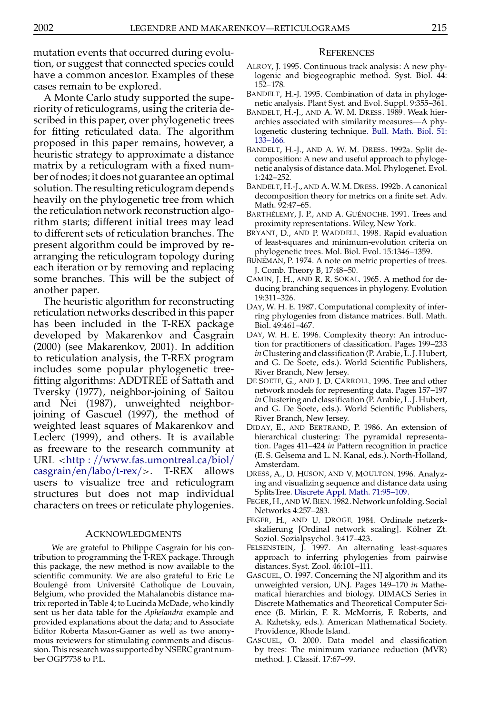mutation events that occurred during evolution, or suggest that connected species could have a common ancestor. Examples of these cases remain to be explored.

A Monte Carlo study supported the supe riority of reticulograms, using the criteria described in this paper, over phylogenetic trees for fitting reticulated data. The algorithm proposed in this paper remains, however, a heuristic strategy to approximate a distance matrix by a reticulogram with a fixed number ofnodes; it does not guarantee an optimal solution. The resulting reticulogram depends heavily on the phylogenetic tree from which the reticulation network reconstruction algo rithm starts; different initial trees may lead to different sets of reticulation branches. The present algorithm could be improved by re arranging the reticulogram topology during each iteration or by removing and replacing some branches. This will be the subject of another paper.

The heuristic algorithm for reconstructing reticulation networks described in this paper has been included in the T-REX package developed by Makarenkov and Casgrain (2000) (see Makarenkov, 2001). In addition to reticulation analysis, the T-REX program includes some popular phylogenetic tree fitting algorithms: ADDTREE of Sattath and Tversky (1977), neighbor-joining of Saitou and Nei (1987), unweighted neighborjoining of Gascuel (1997), the method of weighted least squares of Makarenkov and Leclerc (1999), and others. It is available as freeware to the research community at  $URL < **http://www.fas.umontreal.ca/biol/**$  $URL < **http://www.fas.umontreal.ca/biol/**$  $URL < **http://www.fas.umontreal.ca/biol/**$  $casgrain/en/labo/t-rex/>.$  $casgrain/en/labo/t-rex/>.$  T-REX allows users to visualize tree and reticulogram structures but does not map individual characters on trees or reticulate phylogenies.

#### ACKNOWLEDGMENTS

We are grateful to Philippe Casgrain for his contribution to programming the T-REX package. Through this package, the new method is now available to the scientific community. We are also grateful to Eric Le Boulengé from Université Catholique de Louvain, Belgium, who provided the Mahalanobis distance matrix reported in Table 4; to Lucinda McDade, who kindly sent us her data table for the *Aphelandra* example and provided explanations about the data; and to Associate Editor Roberta Mason-Gamer as well as two anony mous reviewers for stimulating comments and discus sion. This research was supported by NSERC grantnumber OGP7738 to P.L.

#### **REFERENCES**

- ALROY, J. 1995. Continuous track analysis: A new phylogenic and biogeographic method. Syst. Biol. 44: 152–178.
- BANDELT, H.-J. 1995. Combination of data in phyloge netic analysis. Plant Syst. and Evol. Suppl. 9:355–361.
- BANDELT, H.-J., AND A. W. M. DRESS. 1989. Weak hier archies associated with similarity measures—A phylogenetic clustering technique. Bull. [Math.](http://lindoro.catchword.com/nw=1/rpsv/cgi-bin/linker?ext=a&reqidx=/0092-8240^28^2951L.133[aid=2308851]) Biol. 51: [133–166.](http://lindoro.catchword.com/nw=1/rpsv/cgi-bin/linker?ext=a&reqidx=/0092-8240^28^2951L.133[aid=2308851])
- BANDELT, H.-J., AND A. W. M. DRESS. 1992a. Split de composition: A new and useful approach to phyloge netic analysis of distance data. Mol. Phylogenet. Evol. 1:242–252.
- BANDELT, H.-J., AND A. W. M. DRESS. 1992b. A canonical decomposition theory for metrics on a finite set. Adv. Math. 92:47-65.
- BARTHÉLEMY, J. P., AND A. GUÉNOCHE. 1991. Trees and proximity representations. Wiley, New York.
- BRYANT, D., AND P. WADDELL. 1998. Rapid evaluation of least-squares and minimum-evolution criteria on phylogenetic trees. Mol. Biol. Evol. 15:1346–1359.
- BUNEMAN, P. 1974. A note on metric properties of trees. J. Comb. Theory B, 17:48–50.
- CAMIN, J. H., AND R. R. SOKAL. 1965. A method for de ducing branching sequences in phylogeny. Evolution 19:311–326.
- DAY, W. H. E. 1987. Computational complexity of infer ring phylogenies from distance matrices. Bull. Math. Biol. 49:461–467.
- DAY, W. H. E. 1996. Complexity theory: An introduction for practitioners of classification. Pages 199–233 *in* Clustering and classification (P. Arabie, L.J. Hubert, and G. De Soete, eds.). World Scientific Publishers, River Branch, New Jersey.
- DE SOETE, G., AND J. D. CARROLL. 1996. Tree and other network models for representing data. Pages 157–197 in Clustering and classification (P. Arabie, L.J. Hubert, and G. De Soete, eds.). World Scientific Publishers, River Branch, New Jersey.
- DIDAY, E., AND BERTRAND, P. 1986. An extension of hierarchical clustering: The pyramidal representation. Pages 411–424 *in* Pattern recognition in practice (E. S. Gelsema and L.N. Kanal, eds.). North-Holland, Amsterdam.
- DRESS, A., D. HUSON, AND V. MOULTON. 1996. Analyzing and visualizing sequence and distance data using SplitsTree. Discrete Appl. Math. [71:95–109.](http://lindoro.catchword.com/nw=1/rpsv/cgi-bin/linker?ext=a&reqidx=/0166-218X^28^2971L.95[aid=2308853])
- FEGER, H.,AND W.BIEN. 1982. Networkunfolding. Social Networks 4:257–283.
- FEGER, H., AND U. DROGE. 1984. Ordinale netzerk skalierung [Ordinal network scaling]. Kölner Zt. Soziol. Sozialpsychol. 3:417–423.
- FELSENSTEIN, J. 1997. An alternating least-squares approach to inferring phylogenies from pairwise distances. Syst. Zool. 46:101–111.
- GASCUEL, O. 1997. Concerning the NJ algorithm and its unweighted version, UNJ. Pages 149–170 *in* Mathematical hierarchies and biology. DIMACS Series in Discrete Mathematics and Theoretical Computer Sci ence (B. Mirkin, F. R. McMorris, F. Roberts, and A. Rzhetsky, eds.). American Mathematical Society. Providence, Rhode Island.
- GASCUEL, O. 2000. Data model and classification by trees: The minimum variance reduction (MVR) method. J. Classif. 17:67–99.